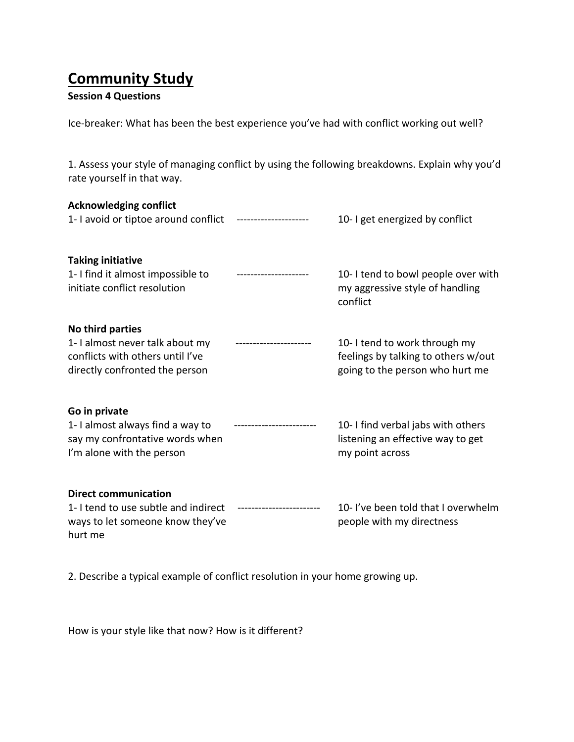## **Community Study**

## **Session 4 Questions**

Ice-breaker: What has been the best experience you've had with conflict working out well?

1. Assess your style of managing conflict by using the following breakdowns. Explain why you'd rate yourself in that way.

| <b>Acknowledging conflict</b><br>1- I avoid or tiptoe around conflict                                                     | 10- I get energized by conflict                                                                         |
|---------------------------------------------------------------------------------------------------------------------------|---------------------------------------------------------------------------------------------------------|
| <b>Taking initiative</b><br>1- I find it almost impossible to<br>initiate conflict resolution                             | 10- I tend to bowl people over with<br>my aggressive style of handling<br>conflict                      |
| No third parties<br>1- I almost never talk about my<br>conflicts with others until I've<br>directly confronted the person | 10- I tend to work through my<br>feelings by talking to others w/out<br>going to the person who hurt me |
| Go in private<br>1- I almost always find a way to<br>say my confrontative words when<br>I'm alone with the person         | 10- I find verbal jabs with others<br>listening an effective way to get<br>my point across              |
| <b>Direct communication</b><br>1- I tend to use subtle and indirect<br>ways to let someone know they've<br>hurt me        | 10- I've been told that I overwhelm<br>people with my directness                                        |

2. Describe a typical example of conflict resolution in your home growing up.

How is your style like that now? How is it different?